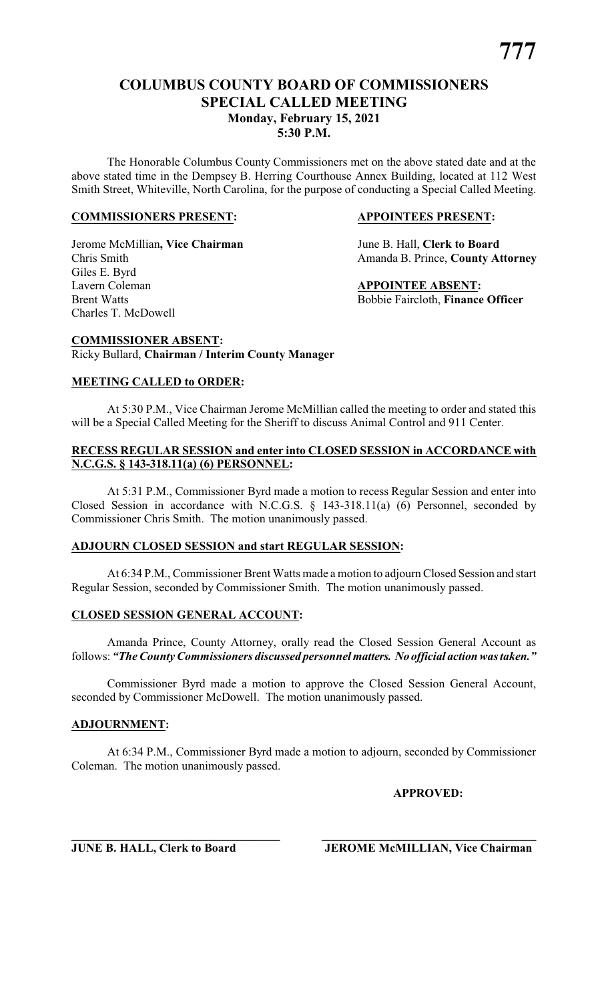# **COLUMBUS COUNTY BOARD OF COMMISSIONERS SPECIAL CALLED MEETING Monday, February 15, 2021 5:30 P.M.**

The Honorable Columbus County Commissioners met on the above stated date and at the above stated time in the Dempsey B. Herring Courthouse Annex Building, located at 112 West Smith Street, Whiteville, North Carolina, for the purpose of conducting a Special Called Meeting.

#### **COMMISSIONERS PRESENT: APPOINTEES PRESENT:**

Jerome McMillian**, Vice Chairman** June B. Hall, **Clerk to Board** Giles E. Byrd Lavern Coleman **APPOINTEE ABSENT:** Brent Watts **Bobbie Faircloth**, **Finance Officer** Charles T. McDowell

Chris Smith Amanda B. Prince, **County Attorney**

**COMMISSIONER ABSENT:** Ricky Bullard, **Chairman / Interim County Manager**

#### **MEETING CALLED to ORDER:**

At 5:30 P.M., Vice Chairman Jerome McMillian called the meeting to order and stated this will be a Special Called Meeting for the Sheriff to discuss Animal Control and 911 Center.

## **RECESS REGULAR SESSION and enter into CLOSED SESSION in ACCORDANCE with N.C.G.S. § 143-318.11(a) (6) PERSONNEL:**

At 5:31 P.M., Commissioner Byrd made a motion to recess Regular Session and enter into Closed Session in accordance with N.C.G.S. § 143-318.11(a) (6) Personnel, seconded by Commissioner Chris Smith. The motion unanimously passed.

# **ADJOURN CLOSED SESSION and start REGULAR SESSION:**

At 6:34 P.M., Commissioner Brent Watts made a motion to adjourn Closed Session and start Regular Session, seconded by Commissioner Smith. The motion unanimously passed.

# **CLOSED SESSION GENERAL ACCOUNT:**

Amanda Prince, County Attorney, orally read the Closed Session General Account as follows: *"The County Commissioners discussed personnelmatters. No official action was taken."*

Commissioner Byrd made a motion to approve the Closed Session General Account, seconded by Commissioner McDowell. The motion unanimously passed.

#### **ADJOURNMENT:**

At 6:34 P.M., Commissioner Byrd made a motion to adjourn, seconded by Commissioner Coleman. The motion unanimously passed.

**APPROVED:**

**\_\_\_\_\_\_\_\_\_\_\_\_\_\_\_\_\_\_\_\_\_\_\_\_\_\_\_\_\_\_\_\_\_\_\_ \_\_\_\_\_\_\_\_\_\_\_\_\_\_\_\_\_\_\_\_\_\_\_\_\_\_\_\_\_\_\_\_\_\_\_\_ JUNE B. HALL, Clerk to Board JEROME McMILLIAN, Vice Chairman**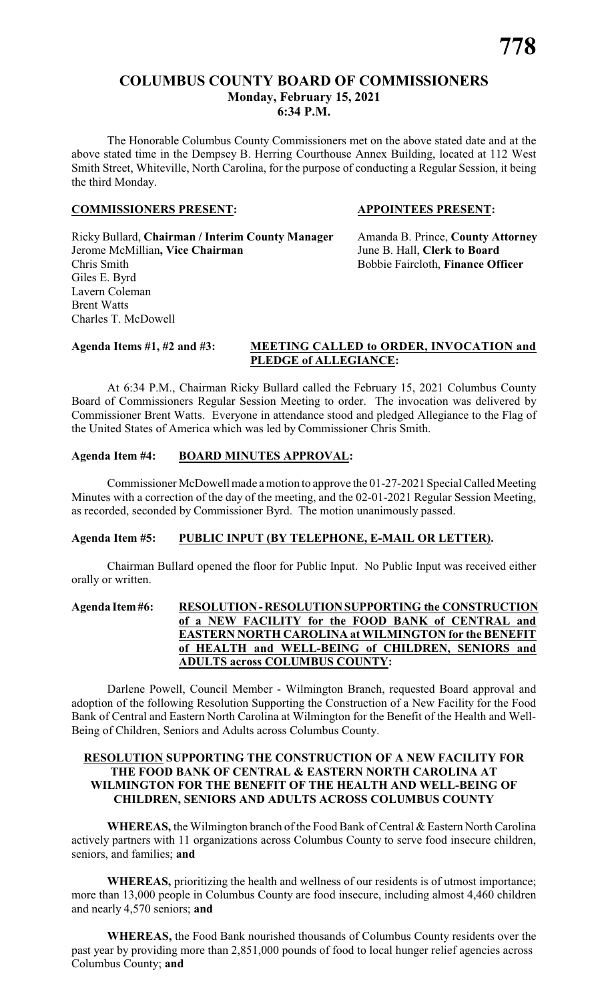# **COLUMBUS COUNTY BOARD OF COMMISSIONERS Monday, February 15, 2021 6:34 P.M.**

The Honorable Columbus County Commissioners met on the above stated date and at the above stated time in the Dempsey B. Herring Courthouse Annex Building, located at 112 West Smith Street, Whiteville, North Carolina, for the purpose of conducting a Regular Session, it being the third Monday.

#### **COMMISSIONERS PRESENT: APPOINTEES PRESENT:**

Ricky Bullard, **Chairman / Interim County Manager** Amanda B. Prince, **County Attorney** Jerome McMillian**, Vice Chairman** June B. Hall, **Clerk to Board** Chris Smith Bobbie Faircloth, **Finance Officer** Giles E. Byrd Lavern Coleman Brent Watts Charles T. McDowell

#### **Agenda Items #1, #2 and #3: MEETING CALLED to ORDER, INVOCATION and PLEDGE of ALLEGIANCE:**

At 6:34 P.M., Chairman Ricky Bullard called the February 15, 2021 Columbus County Board of Commissioners Regular Session Meeting to order. The invocation was delivered by Commissioner Brent Watts. Everyone in attendance stood and pledged Allegiance to the Flag of the United States of America which was led by Commissioner Chris Smith.

# **Agenda Item #4: BOARD MINUTES APPROVAL:**

Commissioner McDowell made a motion to approve the 01-27-2021 Special Called Meeting Minutes with a correction of the day of the meeting, and the 02-01-2021 Regular Session Meeting, as recorded, seconded by Commissioner Byrd. The motion unanimously passed.

#### **Agenda Item #5: PUBLIC INPUT (BY TELEPHONE, E-MAIL OR LETTER).**

Chairman Bullard opened the floor for Public Input. No Public Input was received either orally or written.

#### **Agenda Item#6: RESOLUTION-RESOLUTIONSUPPORTING the CONSTRUCTION of a NEW FACILITY for the FOOD BANK of CENTRAL and EASTERN NORTH CAROLINA at WILMINGTON for the BENEFIT of HEALTH and WELL-BEING of CHILDREN, SENIORS and ADULTS across COLUMBUS COUNTY:**

Darlene Powell, Council Member - Wilmington Branch, requested Board approval and adoption of the following Resolution Supporting the Construction of a New Facility for the Food Bank of Central and Eastern North Carolina at Wilmington for the Benefit of the Health and Well-Being of Children, Seniors and Adults across Columbus County.

#### **RESOLUTION SUPPORTING THE CONSTRUCTION OF A NEW FACILITY FOR THE FOOD BANK OF CENTRAL & EASTERN NORTH CAROLINA AT WILMINGTON FOR THE BENEFIT OF THE HEALTH AND WELL-BEING OF CHILDREN, SENIORS AND ADULTS ACROSS COLUMBUS COUNTY**

**WHEREAS,** the Wilmington branch of the Food Bank of Central & Eastern North Carolina actively partners with 11 organizations across Columbus County to serve food insecure children, seniors, and families; **and**

**WHEREAS,** prioritizing the health and wellness of our residents is of utmost importance; more than 13,000 people in Columbus County are food insecure, including almost 4,460 children and nearly 4,570 seniors; **and**

**WHEREAS,** the Food Bank nourished thousands of Columbus County residents over the past year by providing more than 2,851,000 pounds of food to local hunger relief agencies across Columbus County; **and**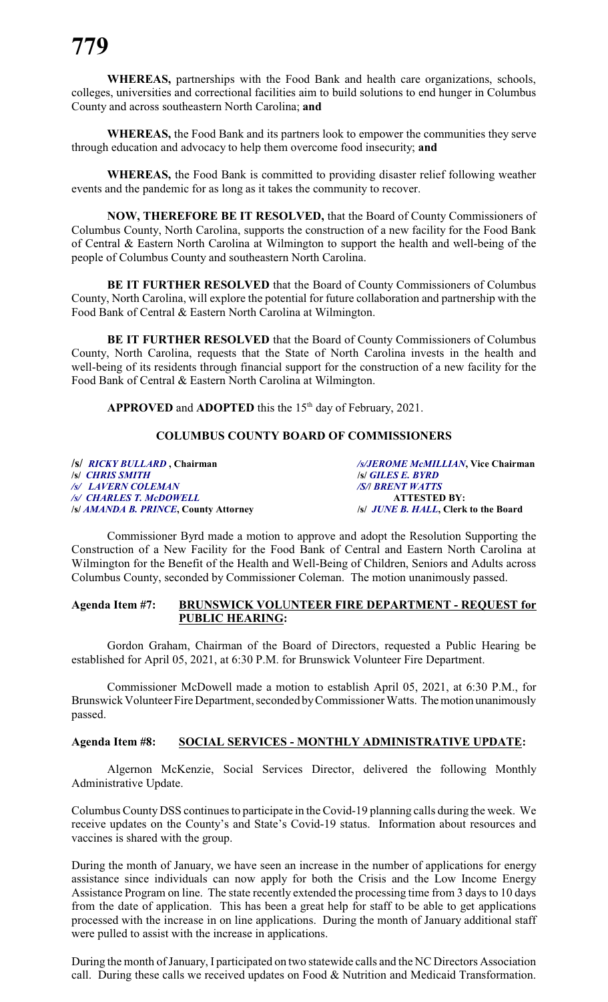**WHEREAS,** partnerships with the Food Bank and health care organizations, schools, colleges, universities and correctional facilities aim to build solutions to end hunger in Columbus County and across southeastern North Carolina; **and**

**WHEREAS,** the Food Bank and its partners look to empower the communities they serve through education and advocacy to help them overcome food insecurity; **and**

**WHEREAS,** the Food Bank is committed to providing disaster relief following weather events and the pandemic for as long as it takes the community to recover.

**NOW, THEREFORE BE IT RESOLVED,** that the Board of County Commissioners of Columbus County, North Carolina, supports the construction of a new facility for the Food Bank of Central & Eastern North Carolina at Wilmington to support the health and well-being of the people of Columbus County and southeastern North Carolina.

**BE IT FURTHER RESOLVED** that the Board of County Commissioners of Columbus County, North Carolina, will explore the potential for future collaboration and partnership with the Food Bank of Central & Eastern North Carolina at Wilmington.

**BE IT FURTHER RESOLVED** that the Board of County Commissioners of Columbus County, North Carolina, requests that the State of North Carolina invests in the health and well-being of its residents through financial support for the construction of a new facility for the Food Bank of Central & Eastern North Carolina at Wilmington.

APPROVED and ADOPTED this the 15<sup>th</sup> day of February, 2021.

### **COLUMBUS COUNTY BOARD OF COMMISSIONERS**

**/s/** *RICKY BULLARD* **, Chairman** */s/JEROME McMILLIAN***, Vice Chairman** */s/ LAVERN COLEMAN /S/***/** *BRENT WATTS /s/ CHARLES T. McDOWELL* **ATTESTED BY: /s/** *AMANDA B. PRINCE***, County Attorney /s/** *JUNE B. HALL***, Clerk to the Board**

**/s/** *CHRIS SMITH* **/s/** *GILES E. BYRD* 

Commissioner Byrd made a motion to approve and adopt the Resolution Supporting the Construction of a New Facility for the Food Bank of Central and Eastern North Carolina at Wilmington for the Benefit of the Health and Well-Being of Children, Seniors and Adults across Columbus County, seconded by Commissioner Coleman. The motion unanimously passed.

#### **Agenda Item #7: BRUNSWICK VOL**U**NTEER FIRE DEPARTMENT - REQUEST for PUBLIC HEARING:**

Gordon Graham, Chairman of the Board of Directors, requested a Public Hearing be established for April 05, 2021, at 6:30 P.M. for Brunswick Volunteer Fire Department.

Commissioner McDowell made a motion to establish April 05, 2021, at 6:30 P.M., for Brunswick Volunteer Fire Department, seconded byCommissioner Watts. Themotion unanimously passed.

#### **Agenda Item #8: SOCIAL SERVICES - MONTHLY ADMINISTRATIVE UPDATE:**

Algernon McKenzie, Social Services Director, delivered the following Monthly Administrative Update.

Columbus County DSS continues to participate in the Covid-19 planning calls during the week. We receive updates on the County's and State's Covid-19 status. Information about resources and vaccines is shared with the group.

During the month of January, we have seen an increase in the number of applications for energy assistance since individuals can now apply for both the Crisis and the Low Income Energy Assistance Program on line. The state recently extended the processing time from 3 days to 10 days from the date of application. This has been a great help for staff to be able to get applications processed with the increase in on line applications. During the month of January additional staff were pulled to assist with the increase in applications.

During the month of January, I participated on two statewide calls and the NC Directors Association call. During these calls we received updates on Food & Nutrition and Medicaid Transformation.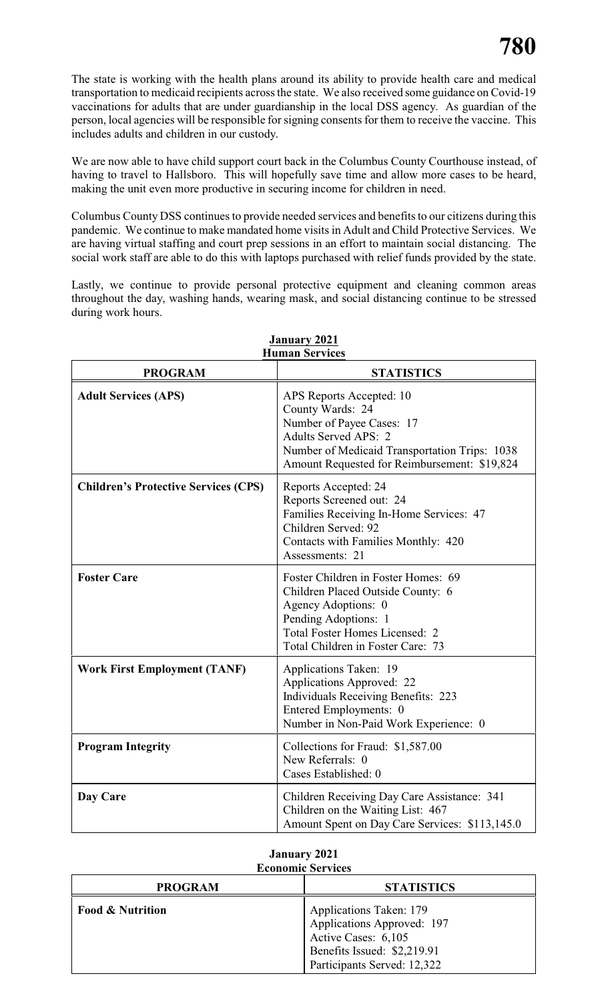The state is working with the health plans around its ability to provide health care and medical transportation to medicaid recipients across the state. We also received some guidance on Covid-19 vaccinations for adults that are under guardianship in the local DSS agency. As guardian of the person, local agencies will be responsible for signing consents for them to receive the vaccine. This includes adults and children in our custody.

We are now able to have child support court back in the Columbus County Courthouse instead, of having to travel to Hallsboro. This will hopefully save time and allow more cases to be heard, making the unit even more productive in securing income for children in need.

Columbus County DSS continues to provide needed services and benefits to our citizens during this pandemic. We continue to make mandated home visits in Adult and Child Protective Services. We are having virtual staffing and court prep sessions in an effort to maintain social distancing. The social work staff are able to do this with laptops purchased with relief funds provided by the state.

Lastly, we continue to provide personal protective equipment and cleaning common areas throughout the day, washing hands, wearing mask, and social distancing continue to be stressed during work hours.

| <b>PROGRAM</b>                              | <b>STATISTICS</b>                                                                                                                                                                                         |
|---------------------------------------------|-----------------------------------------------------------------------------------------------------------------------------------------------------------------------------------------------------------|
| <b>Adult Services (APS)</b>                 | APS Reports Accepted: 10<br>County Wards: 24<br>Number of Payee Cases: 17<br><b>Adults Served APS: 2</b><br>Number of Medicaid Transportation Trips: 1038<br>Amount Requested for Reimbursement: \$19,824 |
| <b>Children's Protective Services (CPS)</b> | Reports Accepted: 24<br>Reports Screened out: 24<br>Families Receiving In-Home Services: 47<br>Children Served: 92<br>Contacts with Families Monthly: 420<br>Assessments: 21                              |
| <b>Foster Care</b>                          | Foster Children in Foster Homes: 69<br>Children Placed Outside County: 6<br>Agency Adoptions: 0<br>Pending Adoptions: 1<br><b>Total Foster Homes Licensed: 2</b><br>Total Children in Foster Care: 73     |
| <b>Work First Employment (TANF)</b>         | Applications Taken: 19<br>Applications Approved: 22<br><b>Individuals Receiving Benefits: 223</b><br>Entered Employments: 0<br>Number in Non-Paid Work Experience: 0                                      |
| <b>Program Integrity</b>                    | Collections for Fraud: \$1,587.00<br>New Referrals: 0<br>Cases Established: 0                                                                                                                             |
| Day Care                                    | Children Receiving Day Care Assistance: 341<br>Children on the Waiting List: 467<br>Amount Spent on Day Care Services: \$113,145.0                                                                        |

#### **January 2021 Human Services**

| <b>Economic Services</b>    |                                                                                                             |  |  |  |  |  |
|-----------------------------|-------------------------------------------------------------------------------------------------------------|--|--|--|--|--|
| <b>PROGRAM</b>              | <b>STATISTICS</b>                                                                                           |  |  |  |  |  |
| <b>Food &amp; Nutrition</b> | Applications Taken: 179<br>Applications Approved: 197<br>Active Cases: 6,105<br>Benefits Issued: \$2,219.91 |  |  |  |  |  |

Participants Served: 12,322

# **January 2021**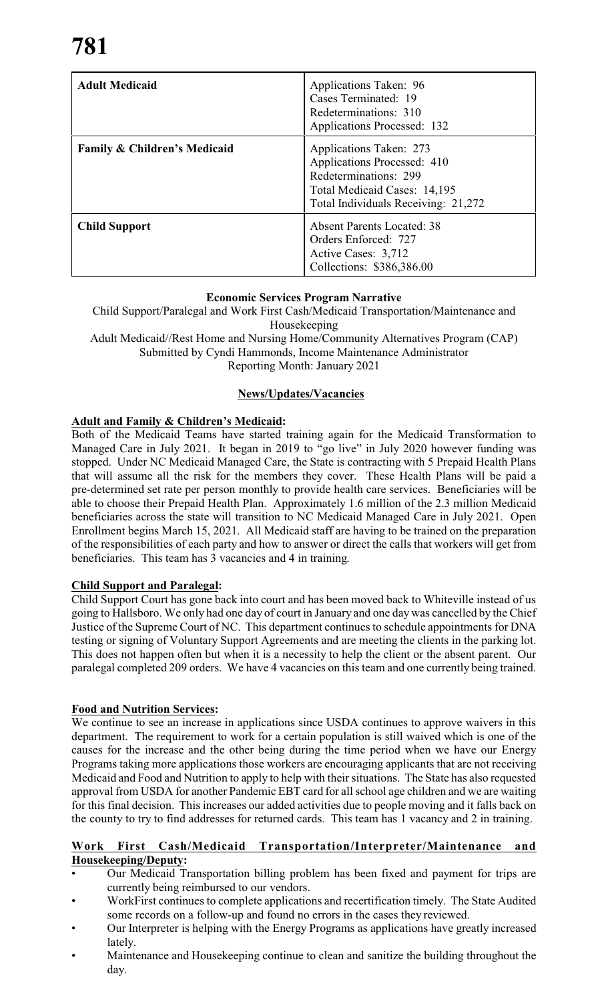| <b>Adult Medicaid</b>                   | Applications Taken: 96<br>Cases Terminated: 19<br>Redeterminations: 310<br><b>Applications Processed: 132</b>                                          |
|-----------------------------------------|--------------------------------------------------------------------------------------------------------------------------------------------------------|
| <b>Family &amp; Children's Medicaid</b> | Applications Taken: 273<br>Applications Processed: 410<br>Redeterminations: 299<br>Total Medicaid Cases: 14,195<br>Total Individuals Receiving: 21,272 |
| <b>Child Support</b>                    | <b>Absent Parents Located: 38</b><br>Orders Enforced: 727<br>Active Cases: 3,712<br>Collections: \$386,386.00                                          |

# **Economic Services Program Narrative**

Child Support/Paralegal and Work First Cash/Medicaid Transportation/Maintenance and Housekeeping Adult Medicaid//Rest Home and Nursing Home/Community Alternatives Program (CAP)

Submitted by Cyndi Hammonds, Income Maintenance Administrator

Reporting Month: January 2021

# **News/Updates/Vacancies**

# **Adult and Family & Children's Medicaid:**

Both of the Medicaid Teams have started training again for the Medicaid Transformation to Managed Care in July 2021. It began in 2019 to "go live" in July 2020 however funding was stopped. Under NC Medicaid Managed Care, the State is contracting with 5 Prepaid Health Plans that will assume all the risk for the members they cover. These Health Plans will be paid a pre-determined set rate per person monthly to provide health care services. Beneficiaries will be able to choose their Prepaid Health Plan. Approximately 1.6 million of the 2.3 million Medicaid beneficiaries across the state will transition to NC Medicaid Managed Care in July 2021. Open Enrollment begins March 15, 2021. All Medicaid staff are having to be trained on the preparation of the responsibilities of each party and how to answer or direct the calls that workers will get from beneficiaries. This team has 3 vacancies and 4 in training.

# **Child Support and Paralegal:**

Child Support Court has gone back into court and has been moved back to Whiteville instead of us going to Hallsboro. We only had one day of court in January and one day was cancelled by the Chief Justice of the Supreme Court of NC. This department continues to schedule appointments for DNA testing or signing of Voluntary Support Agreements and are meeting the clients in the parking lot. This does not happen often but when it is a necessity to help the client or the absent parent. Our paralegal completed 209 orders. We have 4 vacancies on this team and one currently being trained.

# **Food and Nutrition Services:**

We continue to see an increase in applications since USDA continues to approve waivers in this department. The requirement to work for a certain population is still waived which is one of the causes for the increase and the other being during the time period when we have our Energy Programs taking more applications those workers are encouraging applicants that are not receiving Medicaid and Food and Nutrition to apply to help with their situations. The State has also requested approval from USDA for another Pandemic EBT card for all school age children and we are waiting for this final decision. This increases our added activities due to people moving and it falls back on the county to try to find addresses for returned cards. This team has 1 vacancy and 2 in training.

# **Work First Cash/Medicaid Transportation/Interpreter/Maintenance and Housekeeping/Deputy:**

- Our Medicaid Transportation billing problem has been fixed and payment for trips are currently being reimbursed to our vendors.
- WorkFirst continues to complete applications and recertification timely. The State Audited some records on a follow-up and found no errors in the cases they reviewed.
- Our Interpreter is helping with the Energy Programs as applications have greatly increased lately.
- Maintenance and Housekeeping continue to clean and sanitize the building throughout the day.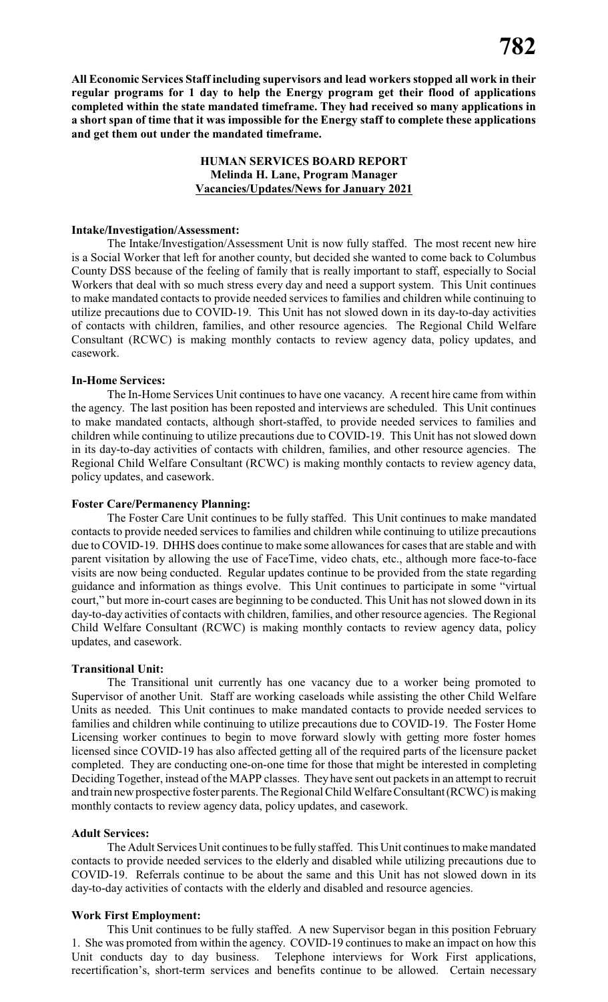**All Economic Services Staff including supervisors and lead workers stopped all work in their regular programs for 1 day to help the Energy program get their flood of applications completed within the state mandated timeframe. They had received so many applications in a short span of time that it was impossible for the Energy staff to complete these applications and get them out under the mandated timeframe.** 

#### **HUMAN SERVICES BOARD REPORT Melinda H. Lane, Program Manager Vacancies/Updates/News for January 2021**

#### **Intake/Investigation/Assessment:**

The Intake/Investigation/Assessment Unit is now fully staffed. The most recent new hire is a Social Worker that left for another county, but decided she wanted to come back to Columbus County DSS because of the feeling of family that is really important to staff, especially to Social Workers that deal with so much stress every day and need a support system. This Unit continues to make mandated contacts to provide needed services to families and children while continuing to utilize precautions due to COVID-19. This Unit has not slowed down in its day-to-day activities of contacts with children, families, and other resource agencies. The Regional Child Welfare Consultant (RCWC) is making monthly contacts to review agency data, policy updates, and casework.

#### **In-Home Services:**

The In-Home Services Unit continues to have one vacancy. A recent hire came from within the agency. The last position has been reposted and interviews are scheduled. This Unit continues to make mandated contacts, although short-staffed, to provide needed services to families and children while continuing to utilize precautions due to COVID-19. This Unit has not slowed down in its day-to-day activities of contacts with children, families, and other resource agencies. The Regional Child Welfare Consultant (RCWC) is making monthly contacts to review agency data, policy updates, and casework.

#### **Foster Care/Permanency Planning:**

The Foster Care Unit continues to be fully staffed. This Unit continues to make mandated contacts to provide needed services to families and children while continuing to utilize precautions due to COVID-19. DHHS does continue to make some allowances for cases that are stable and with parent visitation by allowing the use of FaceTime, video chats, etc., although more face-to-face visits are now being conducted. Regular updates continue to be provided from the state regarding guidance and information as things evolve. This Unit continues to participate in some "virtual court," but more in-court cases are beginning to be conducted. This Unit has not slowed down in its day-to-day activities of contacts with children, families, and other resource agencies. The Regional Child Welfare Consultant (RCWC) is making monthly contacts to review agency data, policy updates, and casework.

#### **Transitional Unit:**

The Transitional unit currently has one vacancy due to a worker being promoted to Supervisor of another Unit. Staff are working caseloads while assisting the other Child Welfare Units as needed. This Unit continues to make mandated contacts to provide needed services to families and children while continuing to utilize precautions due to COVID-19. The Foster Home Licensing worker continues to begin to move forward slowly with getting more foster homes licensed since COVID-19 has also affected getting all of the required parts of the licensure packet completed. They are conducting one-on-one time for those that might be interested in completing Deciding Together, instead of the MAPP classes. They have sent out packets in an attempt to recruit and train new prospective foster parents. The Regional Child Welfare Consultant(RCWC) is making monthly contacts to review agency data, policy updates, and casework.

#### **Adult Services:**

The Adult Services Unit continues to be fully staffed. This Unit continues to make mandated contacts to provide needed services to the elderly and disabled while utilizing precautions due to COVID-19. Referrals continue to be about the same and this Unit has not slowed down in its day-to-day activities of contacts with the elderly and disabled and resource agencies.

#### **Work First Employment:**

This Unit continues to be fully staffed. A new Supervisor began in this position February 1. She was promoted from within the agency. COVID-19 continues to make an impact on how this Unit conducts day to day business. Telephone interviews for Work First applications, recertification's, short-term services and benefits continue to be allowed. Certain necessary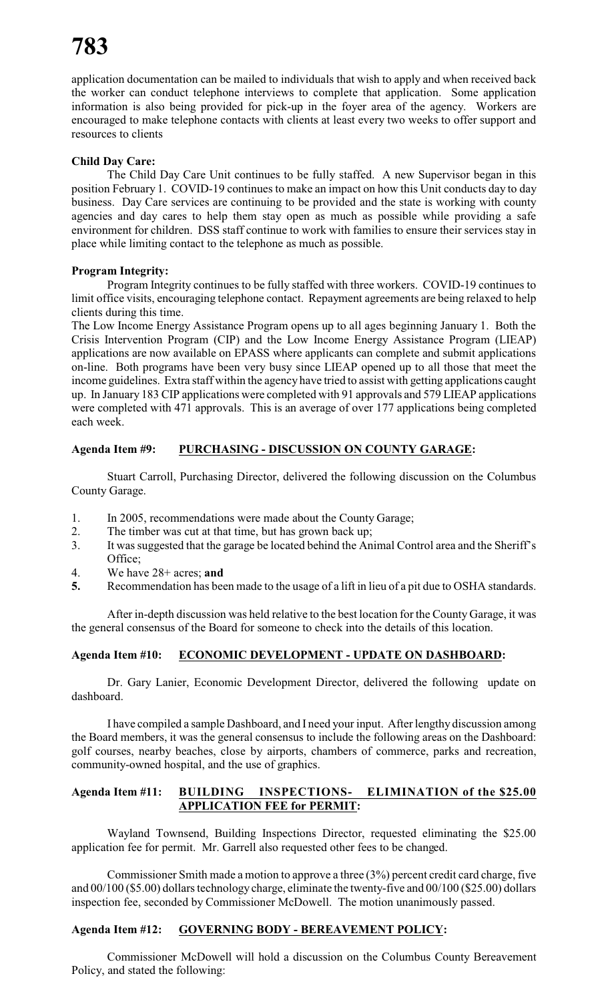application documentation can be mailed to individuals that wish to apply and when received back the worker can conduct telephone interviews to complete that application. Some application information is also being provided for pick-up in the foyer area of the agency. Workers are encouraged to make telephone contacts with clients at least every two weeks to offer support and resources to clients

# **Child Day Care:**

The Child Day Care Unit continues to be fully staffed. A new Supervisor began in this position February 1. COVID-19 continues to make an impact on how this Unit conducts day to day business. Day Care services are continuing to be provided and the state is working with county agencies and day cares to help them stay open as much as possible while providing a safe environment for children. DSS staff continue to work with families to ensure their services stay in place while limiting contact to the telephone as much as possible.

#### **Program Integrity:**

Program Integrity continues to be fully staffed with three workers. COVID-19 continues to limit office visits, encouraging telephone contact. Repayment agreements are being relaxed to help clients during this time.

The Low Income Energy Assistance Program opens up to all ages beginning January 1. Both the Crisis Intervention Program (CIP) and the Low Income Energy Assistance Program (LIEAP) applications are now available on EPASS where applicants can complete and submit applications on-line. Both programs have been very busy since LIEAP opened up to all those that meet the income guidelines. Extra staff within the agency have tried to assist with getting applications caught up. In January 183 CIP applications were completed with 91 approvals and 579 LIEAP applications were completed with 471 approvals. This is an average of over 177 applications being completed each week.

# **Agenda Item #9: PURCHASING - DISCUSSION ON COUNTY GARAGE:**

Stuart Carroll, Purchasing Director, delivered the following discussion on the Columbus County Garage.

- 1. In 2005, recommendations were made about the County Garage;
- 2. The timber was cut at that time, but has grown back up;
- 3. It was suggested that the garage be located behind the Animal Control area and the Sheriff's Office:
- 4. We have 28+ acres; **and**
- **5.** Recommendation has been made to the usage of a lift in lieu of a pit due to OSHA standards.

After in-depth discussion was held relative to the best location for the County Garage, it was the general consensus of the Board for someone to check into the details of this location.

#### **Agenda Item #10: ECONOMIC DEVELOPMENT - UPDATE ON DASHBOARD:**

Dr. Gary Lanier, Economic Development Director, delivered the following update on dashboard.

I have compiled a sample Dashboard, and I need your input. After lengthy discussion among the Board members, it was the general consensus to include the following areas on the Dashboard: golf courses, nearby beaches, close by airports, chambers of commerce, parks and recreation, community-owned hospital, and the use of graphics.

# **Agenda Item #11: BUILDING INSPECTIONS- ELIMINATION of the \$25.00 APPLICATION FEE for PERMIT:**

Wayland Townsend, Building Inspections Director, requested eliminating the \$25.00 application fee for permit. Mr. Garrell also requested other fees to be changed.

Commissioner Smith made a motion to approve a three (3%) percent credit card charge, five and 00/100 (\$5.00) dollars technology charge, eliminate the twenty-five and 00/100 (\$25.00) dollars inspection fee, seconded by Commissioner McDowell. The motion unanimously passed.

# **Agenda Item #12: GOVERNING BODY - BEREAVEMENT POLICY:**

Commissioner McDowell will hold a discussion on the Columbus County Bereavement Policy, and stated the following: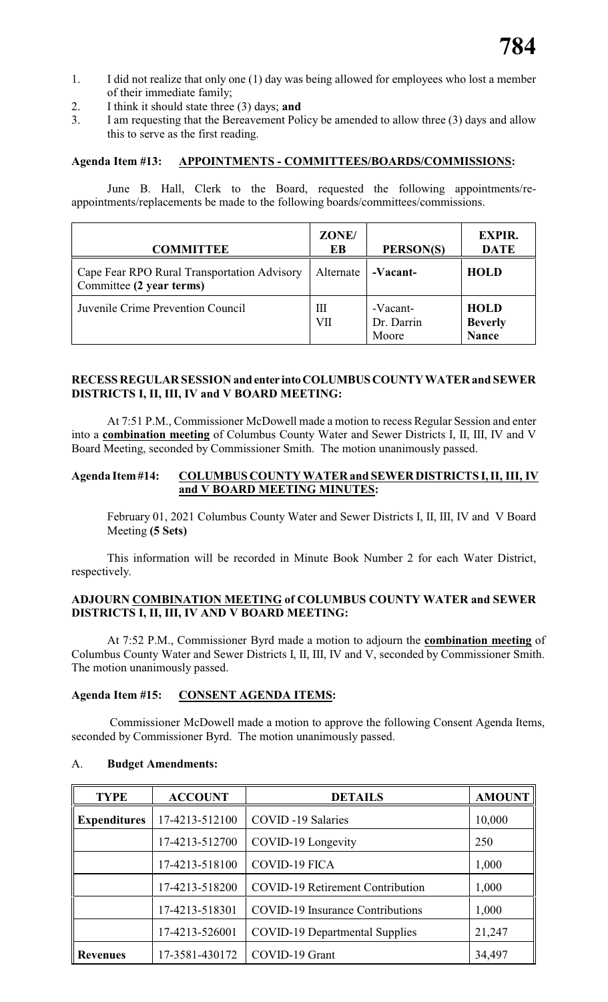- 1. I did not realize that only one (1) day was being allowed for employees who lost a member of their immediate family;
- 2. I think it should state three (3) days; **and**
- 3. I am requesting that the Bereavement Policy be amended to allow three (3) days and allow this to serve as the first reading.

# **Agenda Item #13: APPOINTMENTS - COMMITTEES/BOARDS/COMMISSIONS:**

June B. Hall, Clerk to the Board, requested the following appointments/reappointments/replacements be made to the following boards/committees/commissions.

| <b>COMMITTEE</b>                                                        | ZONE/<br>EВ | PERSON(S)                       | <b>EXPIR.</b><br><b>DATE</b>                  |
|-------------------------------------------------------------------------|-------------|---------------------------------|-----------------------------------------------|
| Cape Fear RPO Rural Transportation Advisory<br>Committee (2 year terms) | Alternate   | -Vacant-                        | <b>HOLD</b>                                   |
| Juvenile Crime Prevention Council                                       | Ш<br>VП     | -Vacant-<br>Dr. Darrin<br>Moore | <b>HOLD</b><br><b>Beverly</b><br><b>Nance</b> |

## **RECESS REGULAR SESSION and enter intoCOLUMBUSCOUNTYWATER and SEWER DISTRICTS I, II, III, IV and V BOARD MEETING:**

At 7:51 P.M., Commissioner McDowell made a motion to recess Regular Session and enter into a **combination meeting** of Columbus County Water and Sewer Districts I, II, III, IV and V Board Meeting, seconded by Commissioner Smith. The motion unanimously passed.

#### **Agenda Item#14: COLUMBUS COUNTY WATER and SEWER DISTRICTS I, II, III, IV and V BOARD MEETING MINUTES:**

February 01, 2021 Columbus County Water and Sewer Districts I, II, III, IV and V Board Meeting **(5 Sets)**

This information will be recorded in Minute Book Number 2 for each Water District, respectively.

### **ADJOURN COMBINATION MEETING of COLUMBUS COUNTY WATER and SEWER DISTRICTS I, II, III, IV AND V BOARD MEETING:**

At 7:52 P.M., Commissioner Byrd made a motion to adjourn the **combination meeting** of Columbus County Water and Sewer Districts I, II, III, IV and V, seconded by Commissioner Smith. The motion unanimously passed.

#### **Agenda Item #15: CONSENT AGENDA ITEMS:**

Commissioner McDowell made a motion to approve the following Consent Agenda Items, seconded by Commissioner Byrd. The motion unanimously passed.

# **TYPE ACCOUNT DETAILS AMOUNT Expenditures** 17-4213-512100 COVID -19 Salaries 10,000 17-4213-512700 COVID-19 Longevity 250 17-4213-518100 COVID-19 FICA 1,000 17-4213-518200 COVID-19 Retirement Contribution 1,000 17-4213-518301 COVID-19 Insurance Contributions 1,000 17-4213-526001 COVID-19 Departmental Supplies 21,247 **Revenues** 17-3581-430172 COVID-19 Grant 34,497

#### A. **Budget Amendments:**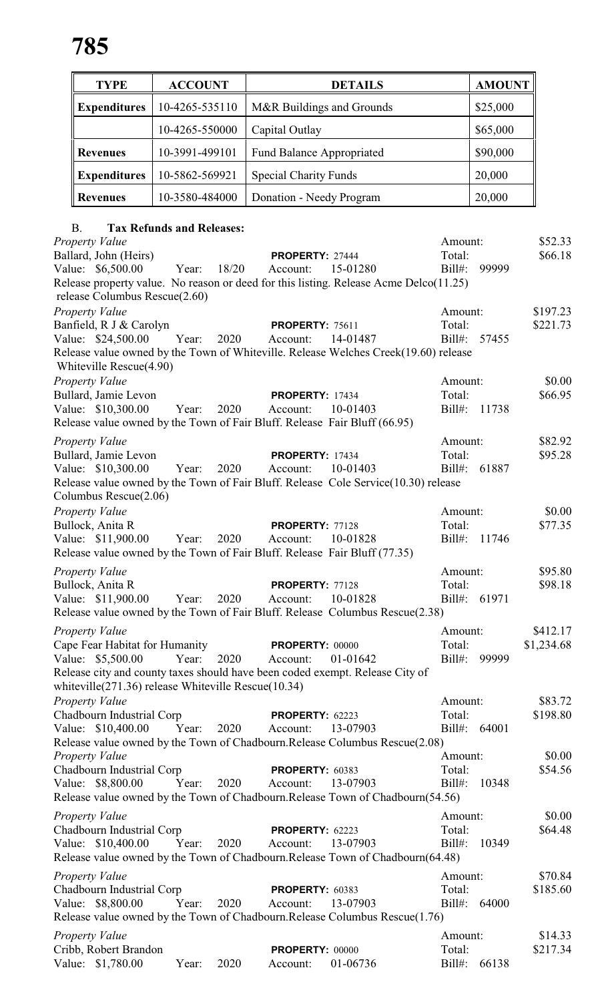| <b>TYPE</b>         | <b>ACCOUNT</b> | <b>DETAILS</b>                   | <b>AMOUNT</b> |
|---------------------|----------------|----------------------------------|---------------|
| <b>Expenditures</b> | 10-4265-535110 | M&R Buildings and Grounds        | \$25,000      |
|                     | 10-4265-550000 | Capital Outlay                   | \$65,000      |
| <b>Revenues</b>     | 10-3991-499101 | <b>Fund Balance Appropriated</b> | \$90,000      |
| <b>Expenditures</b> | 10-5862-569921 | <b>Special Charity Funds</b>     | 20,000        |
| <b>Revenues</b>     | 10-3580-484000 | Donation - Needy Program         | 20,000        |

# B. **Tax Refunds and Releases:**

| <b>Property Value</b>                                       |       |       |                        |                                                                                       | Amount:      |       | \$52.33    |
|-------------------------------------------------------------|-------|-------|------------------------|---------------------------------------------------------------------------------------|--------------|-------|------------|
| Ballard, John (Heirs)                                       |       |       | PROPERTY: 27444        |                                                                                       | Total:       |       | \$66.18    |
| Value: \$6,500.00                                           | Year: | 18/20 | Account:               | 15-01280                                                                              | $Bill#$ :    | 99999 |            |
| release Columbus Rescue(2.60)                               |       |       |                        | Release property value. No reason or deed for this listing. Release Acme Delco(11.25) |              |       |            |
| <b>Property Value</b>                                       |       |       |                        |                                                                                       | Amount:      |       | \$197.23   |
| Banfield, R J & Carolyn                                     |       |       | <b>PROPERTY: 75611</b> |                                                                                       | Total:       |       | \$221.73   |
| Value: \$24,500.00                                          | Year: | 2020  | Account:               | 14-01487                                                                              | $Bill#$ :    | 57455 |            |
|                                                             |       |       |                        | Release value owned by the Town of Whiteville. Release Welches Creek(19.60) release   |              |       |            |
| Whiteville Rescue(4.90)                                     |       |       |                        |                                                                                       |              |       |            |
| Property Value                                              |       |       |                        |                                                                                       | Amount:      |       | \$0.00     |
| Bullard, Jamie Levon                                        |       |       | <b>PROPERTY: 17434</b> |                                                                                       | Total:       |       | \$66.95    |
| Value: \$10,300.00                                          | Year: | 2020  | Account:               | 10-01403                                                                              | Bill#:       | 11738 |            |
|                                                             |       |       |                        | Release value owned by the Town of Fair Bluff. Release Fair Bluff (66.95)             |              |       |            |
| Property Value                                              |       |       |                        |                                                                                       | Amount:      |       | \$82.92    |
| Bullard, Jamie Levon                                        |       |       | <b>PROPERTY: 17434</b> |                                                                                       | Total:       |       | \$95.28    |
| Value: \$10,300.00                                          | Year: | 2020  | Account:               | 10-01403                                                                              | $Bill#$ :    | 61887 |            |
|                                                             |       |       |                        | Release value owned by the Town of Fair Bluff. Release Cole Service(10.30) release    |              |       |            |
| Columbus Rescue(2.06)                                       |       |       |                        |                                                                                       |              |       |            |
| Property Value                                              |       |       |                        |                                                                                       | Amount:      |       | \$0.00     |
| Bullock, Anita R                                            |       |       | PROPERTY: 77128        |                                                                                       | Total:       |       | \$77.35    |
| Value: \$11,900.00                                          | Year: | 2020  | Account:               | 10-01828                                                                              | Bill#: 11746 |       |            |
|                                                             |       |       |                        | Release value owned by the Town of Fair Bluff. Release Fair Bluff (77.35)             |              |       |            |
| Property Value                                              |       |       |                        |                                                                                       | Amount:      |       | \$95.80    |
| Bullock, Anita R                                            |       |       | PROPERTY: 77128        |                                                                                       | Total:       |       | \$98.18    |
| Value: \$11,900.00                                          | Year: | 2020  | Account:               | 10-01828                                                                              | $Bill#$ :    | 61971 |            |
|                                                             |       |       |                        | Release value owned by the Town of Fair Bluff. Release Columbus Rescue(2.38)          |              |       |            |
| <b>Property Value</b>                                       |       |       |                        |                                                                                       | Amount:      |       | \$412.17   |
| Cape Fear Habitat for Humanity                              |       |       | <b>PROPERTY: 00000</b> |                                                                                       | Total:       |       | \$1,234.68 |
| Value: \$5,500.00                                           | Year: | 2020  | Account:               | 01-01642                                                                              | $Bill#$ :    | 99999 |            |
| white ville $(271.36)$ release White ville Rescue $(10.34)$ |       |       |                        | Release city and county taxes should have been coded exempt. Release City of          |              |       |            |
| Property Value                                              |       |       |                        |                                                                                       | Amount:      |       | \$83.72    |
| Chadbourn Industrial Corp                                   |       |       | <b>PROPERTY: 62223</b> |                                                                                       | Total:       |       | \$198.80   |
| Value: \$10,400.00                                          | Year: | 2020  | Account:               | 13-07903                                                                              | $Bill#$ :    | 64001 |            |
|                                                             |       |       |                        | Release value owned by the Town of Chadbourn.Release Columbus Rescue(2.08)            |              |       |            |
| Property Value                                              |       |       |                        |                                                                                       | Amount:      |       | \$0.00     |
| Chadbourn Industrial Corp                                   |       |       | PROPERTY: 60383        |                                                                                       | Total:       |       | \$54.56    |
| Value: \$8,800.00                                           | Year: | 2020  | Account:               | 13-07903                                                                              | $Bill#$ :    | 10348 |            |
|                                                             |       |       |                        | Release value owned by the Town of Chadbourn.Release Town of Chadbourn(54.56)         |              |       |            |
| <b>Property Value</b>                                       |       |       |                        |                                                                                       | Amount:      |       | \$0.00     |
| Chadbourn Industrial Corp                                   |       |       | PROPERTY: 62223        |                                                                                       | Total:       |       | \$64.48    |
| Value: \$10,400.00                                          | Year: | 2020  | Account:               | 13-07903                                                                              | $Bill#$ :    | 10349 |            |
|                                                             |       |       |                        | Release value owned by the Town of Chadbourn.Release Town of Chadbourn(64.48)         |              |       |            |
| Property Value                                              |       |       |                        |                                                                                       | Amount:      |       | \$70.84    |
| Chadbourn Industrial Corp                                   |       |       | PROPERTY: 60383        |                                                                                       | Total:       |       | \$185.60   |
| Value: \$8,800.00                                           | Year: | 2020  | Account:               | 13-07903                                                                              | $Bill#$ :    | 64000 |            |
|                                                             |       |       |                        | Release value owned by the Town of Chadbourn. Release Columbus Rescue(1.76)           |              |       |            |
| <b>Property Value</b>                                       |       |       |                        |                                                                                       | Amount:      |       | \$14.33    |
| Cribb, Robert Brandon                                       |       |       | PROPERTY: 00000        |                                                                                       | Total:       |       | \$217.34   |
| Value: \$1,780.00                                           | Year: | 2020  | Account:               | 01-06736                                                                              | $Bill#$ :    | 66138 |            |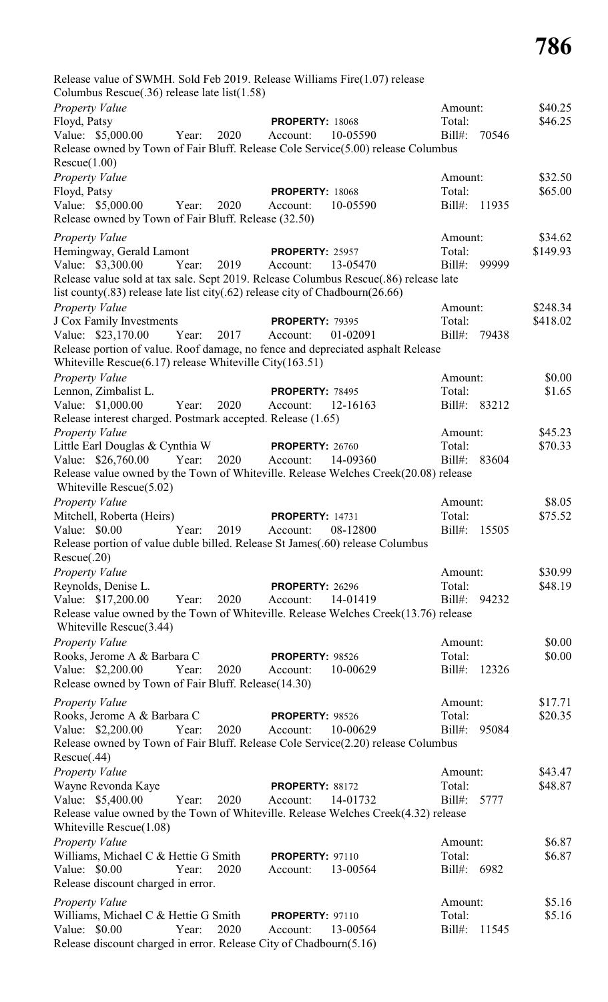Release value of SWMH. Sold Feb 2019. Release Williams Fire(1.07) release Columbus Rescue(.36) release late list(1.58) *Property Value* \$40.25 Floyd, Patsy **PROPERTY:** 18068 Total: \$46.25 Value: \$5,000.00 Year: 2020 Account: 10-05590 Bill#: 70546 Release owned by Town of Fair Bluff. Release Cole Service(5.00) release Columbus Rescue(1.00) *Property Value* \$32.50 Floyd, Patsy **PROPERTY:** 18068 Total: \$65.00 Value: \$5,000.00 Year: 2020 Account: 10-05590 Bill#: 11935 Release owned by Town of Fair Bluff. Release (32.50) *Property Value* \$34.62 Hemingway, Gerald Lamont **PROPERTY:** 25957 Total: \$149.93 Value: \$3,300.00 Year: 2019 Account: 13-05470 Bill#: 99999 Release value sold at tax sale. Sept 2019. Release Columbus Rescue(.86) release late list county(.83) release late list city(.62) release city of Chadbourn(26.66) *Property Value* \$248.34 J Cox Family Investments **PROPERTY:** 79395 Total: \$418.02<br>Value: \$23,170.00 Year: 2017 Account: 01-02091 Bill#: 79438 Value: \$23,170.00 Year: 2017 Account: 01-02091 Bill#: 79438 Release portion of value. Roof damage, no fence and depreciated asphalt Release Whiteville Rescue(6.17) release Whiteville City(163.51) *Property Value* \$0.00 Lennon, Zimbalist L. **PROPERTY:** 78495 Total: \$1.65 Value: \$1,000.00 Year: 2020 Account: 12-16163 Bill#: 83212 Release interest charged. Postmark accepted. Release (1.65) *Property Value* \$45.23 Little Earl Douglas & Cynthia W **PROPERTY:** 26760 Total: \$70.33 Value: \$26,760.00 Year: 2020 Account: 14-09360 Bill#: 83604 Release value owned by the Town of Whiteville. Release Welches Creek(20.08) release Whiteville Rescue(5.02) *Property Value* \$8.05 Mitchell, Roberta (Heirs) **PROPERTY:** 14731 Total: \$75.52 Value: \$0.00 Year: 2019 Account: 08-12800 Bill#: 15505 Release portion of value duble billed. Release St James(.60) release Columbus Rescue(.20) *Property Value* \$30.99 Reynolds, Denise L. **PROPERTY:** 26296 Total: \$48.19 Value: \$17,200.00 Year: 2020 Account: 14-01419 Bill#: 94232 Release value owned by the Town of Whiteville. Release Welches Creek(13.76) release Whiteville Rescue(3.44) *Property Value* \$0.00 Rooks, Jerome A & Barbara C **PROPERTY:** 98526 Total: \$0.00 Value: \$2,200.00 Year: 2020 Account: 10-00629 Bill#: 12326 Release owned by Town of Fair Bluff. Release(14.30) *Property Value* \$17.71 Rooks, Jerome A & Barbara C **PROPERTY**: 98526 Total: \$20.35 Value: \$2,200.00 Year: 2020 Account: 10-00629 Bill#: 95084 Release owned by Town of Fair Bluff. Release Cole Service(2.20) release Columbus Rescue(.44) *Property Value* \$43.47 Wayne Revonda Kaye **PROPERTY:** 88172 Total: \$48.87 Value: \$5,400.00 Year: 2020 Account: 14-01732 Bill#: 5777 Release value owned by the Town of Whiteville. Release Welches Creek(4.32) release Whiteville Rescue(1.08) *Property Value* 56.87 Williams, Michael C & Hettie G Smith **PROPERTY:** 97110 Total: \$6.87 Value: \$0.00 Year: 2020 Account: 13-00564 Bill#: 6982 Release discount charged in error. *Property Value* \$5.16 Williams, Michael C & Hettie G Smith **PROPERTY**: 97110 Total: \$5.16<br>Value: \$0.00 Year: 2020 Account: 13-00564 Bill#: 11545 Value: \$0.00 Year: 2020 Account: 13-00564 Bill#: 11545

Release discount charged in error. Release City of Chadbourn(5.16)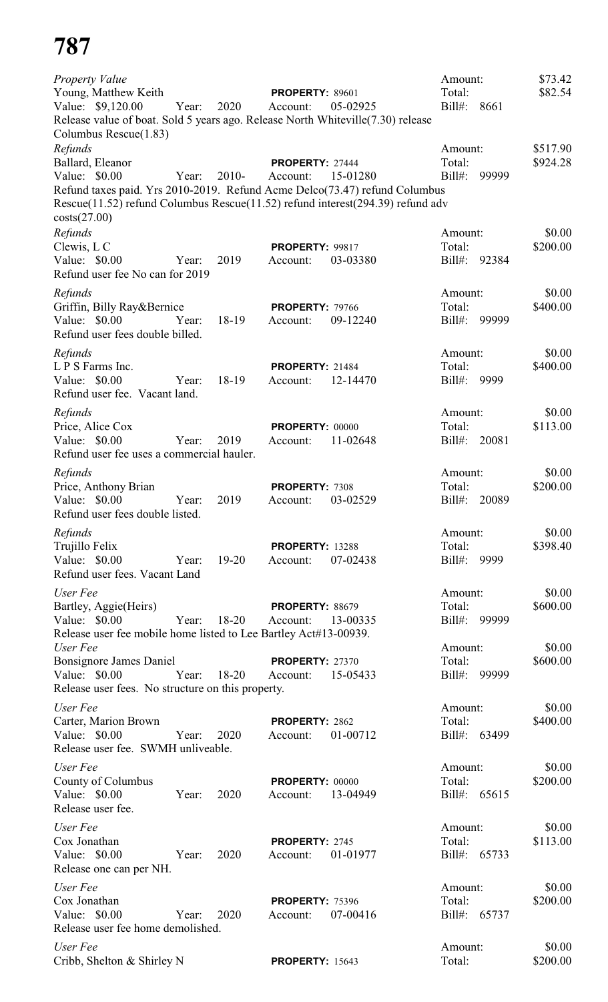| <b>Property Value</b><br>Young, Matthew Keith<br>Value: \$9,120.00<br>Release value of boat. Sold 5 years ago. Release North Whiteville (7.30) release<br>Columbus Rescue(1.83)                                              | Year: | 2020      | <b>PROPERTY: 89601</b><br>Account: | 05-02925 | Amount:<br>Total:<br>$Bill#$ : | 8661  | \$73.42<br>\$82.54   |
|------------------------------------------------------------------------------------------------------------------------------------------------------------------------------------------------------------------------------|-------|-----------|------------------------------------|----------|--------------------------------|-------|----------------------|
| Refunds<br>Ballard, Eleanor<br>Value: \$0.00<br>Refund taxes paid. Yrs 2010-2019. Refund Acme Delco(73.47) refund Columbus<br>Rescue(11.52) refund Columbus Rescue(11.52) refund interest(294.39) refund adv<br>costs(27.00) | Year: | 2010-     | PROPERTY: 27444<br>Account:        | 15-01280 | Amount:<br>Total:<br>$Bill#$ : | 99999 | \$517.90<br>\$924.28 |
| Refunds<br>Clewis, L C<br>Value: \$0.00                                                                                                                                                                                      | Year: | 2019      | PROPERTY: 99817<br>Account:        | 03-03380 | Amount:<br>Total:<br>$Bill#$ : | 92384 | \$0.00<br>\$200.00   |
| Refund user fee No can for 2019                                                                                                                                                                                              |       |           |                                    |          |                                |       |                      |
| Refunds<br>Griffin, Billy Ray&Bernice                                                                                                                                                                                        |       |           | PROPERTY: 79766                    |          | Amount:<br>Total:              |       | \$0.00<br>\$400.00   |
| Value: \$0.00<br>Refund user fees double billed.                                                                                                                                                                             | Year: | 18-19     | Account:                           | 09-12240 | $Bill#$ :                      | 99999 |                      |
| Refunds                                                                                                                                                                                                                      |       |           |                                    |          | Amount:                        |       | \$0.00               |
| L P S Farms Inc.                                                                                                                                                                                                             |       |           | <b>PROPERTY: 21484</b>             |          | Total:                         |       | \$400.00             |
| Value: \$0.00<br>Refund user fee. Vacant land.                                                                                                                                                                               | Year: | 18-19     | Account:                           | 12-14470 | $Bill#$ :                      | 9999  |                      |
| Refunds                                                                                                                                                                                                                      |       |           |                                    |          | Amount:                        |       | \$0.00               |
| Price, Alice Cox<br>Value: \$0.00<br>Refund user fee uses a commercial hauler.                                                                                                                                               | Year: | 2019      | PROPERTY: 00000<br>Account:        | 11-02648 | Total:<br>$Bill#$ :            | 20081 | \$113.00             |
|                                                                                                                                                                                                                              |       |           |                                    |          |                                |       |                      |
| Refunds<br>Price, Anthony Brian                                                                                                                                                                                              |       |           | PROPERTY: 7308                     |          | Amount:<br>Total:              |       | \$0.00<br>\$200.00   |
| Value: \$0.00<br>Refund user fees double listed.                                                                                                                                                                             | Year: | 2019      | Account:                           | 03-02529 | $Bill#$ :                      | 20089 |                      |
| Refunds                                                                                                                                                                                                                      |       |           |                                    |          | Amount:                        |       | \$0.00               |
| Trujillo Felix                                                                                                                                                                                                               |       |           | <b>PROPERTY: 13288</b>             |          | Total:                         |       | \$398.40             |
| Value: \$0.00<br>Refund user fees. Vacant Land                                                                                                                                                                               | Year: | 19-20     | Account:                           | 07-02438 | Bill#:                         | 9999  |                      |
| User Fee                                                                                                                                                                                                                     |       |           |                                    |          | Amount:                        |       | \$0.00               |
| Bartley, Aggie(Heirs)                                                                                                                                                                                                        |       |           | <b>PROPERTY: 88679</b>             |          | Total:                         |       | \$600.00             |
| Value: \$0.00<br>Release user fee mobile home listed to Lee Bartley Act#13-00939.                                                                                                                                            | Year: | 18-20     | Account:                           | 13-00335 | $Bill#$ :                      | 99999 |                      |
| User Fee                                                                                                                                                                                                                     |       |           |                                    |          | Amount:                        |       | \$0.00               |
| Bonsignore James Daniel                                                                                                                                                                                                      |       |           | <b>PROPERTY: 27370</b>             |          | Total:                         |       | \$600.00             |
| Value: $$0.00$<br>Release user fees. No structure on this property.                                                                                                                                                          | Year: | $18 - 20$ | Account:                           | 15-05433 | $Bill#$ :                      | 99999 |                      |
| User Fee                                                                                                                                                                                                                     |       |           |                                    |          | Amount:                        |       | \$0.00               |
| Carter, Marion Brown                                                                                                                                                                                                         |       |           | PROPERTY: 2862                     |          | Total:                         |       | \$400.00             |
| Value: \$0.00<br>Release user fee. SWMH unliveable.                                                                                                                                                                          | Year: | 2020      | Account:                           | 01-00712 | Bill#: 63499                   |       |                      |
| User Fee                                                                                                                                                                                                                     |       |           |                                    |          | Amount:                        |       | \$0.00               |
| County of Columbus                                                                                                                                                                                                           |       |           | <b>PROPERTY: 00000</b>             |          | Total:                         |       | \$200.00             |
| Value: \$0.00<br>Release user fee.                                                                                                                                                                                           | Year: | 2020      | Account:                           | 13-04949 | $Bill#$ :                      | 65615 |                      |
| User Fee                                                                                                                                                                                                                     |       |           |                                    |          | Amount:                        |       | \$0.00               |
| Cox Jonathan<br>Value: \$0.00<br>Release one can per NH.                                                                                                                                                                     | Year: | 2020      | PROPERTY: 2745<br>Account:         | 01-01977 | Total:<br>$Bill#$ :            | 65733 | \$113.00             |
| User Fee                                                                                                                                                                                                                     |       |           |                                    |          | Amount:                        |       | \$0.00               |
| Cox Jonathan                                                                                                                                                                                                                 |       |           | <b>PROPERTY: 75396</b>             |          | Total:                         |       | \$200.00             |
| Value: \$0.00<br>Release user fee home demolished.                                                                                                                                                                           | Year: | 2020      | Account:                           | 07-00416 | $Bill#$ :                      | 65737 |                      |
| User Fee<br>Cribb, Shelton & Shirley N                                                                                                                                                                                       |       |           | <b>PROPERTY: 15643</b>             |          | Amount:<br>Total:              |       | \$0.00<br>\$200.00   |
|                                                                                                                                                                                                                              |       |           |                                    |          |                                |       |                      |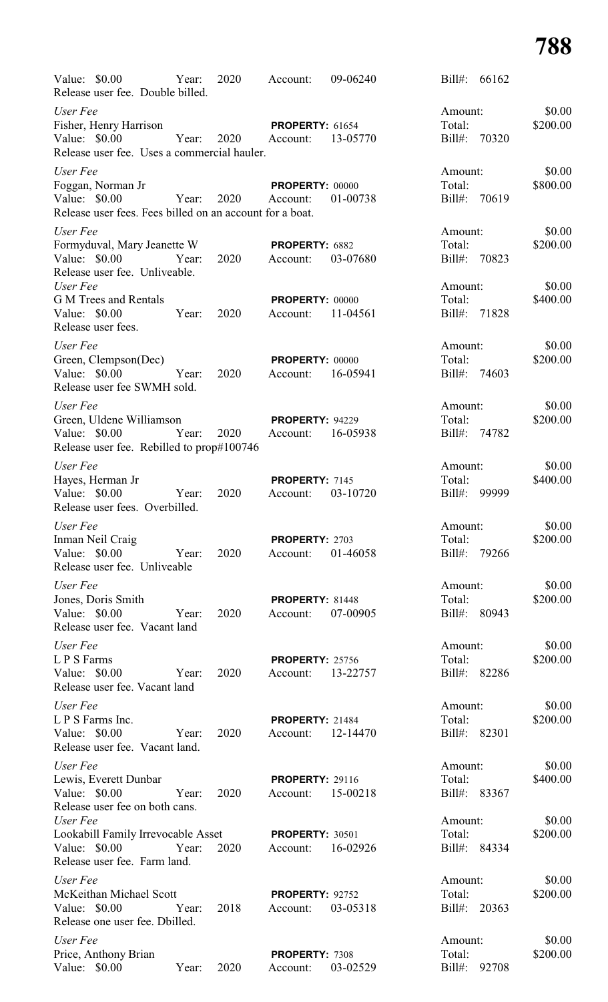| Value: \$0.00<br>Year:<br>Release user fee. Double billed.                             | 2020          | Account:                                    | 09-06240 | Bill#:                  | 66162        |                    |
|----------------------------------------------------------------------------------------|---------------|---------------------------------------------|----------|-------------------------|--------------|--------------------|
| User Fee<br>Fisher, Henry Harrison                                                     |               | <b>PROPERTY: 61654</b>                      |          | Amount:<br>Total:       |              | \$0.00<br>\$200.00 |
| Value: \$0.00<br>Release user fee. Uses a commercial hauler.                           | Year:<br>2020 | Account:                                    | 13-05770 | $Bill#$ :               | 70320        |                    |
| User Fee                                                                               |               |                                             |          | Amount:                 |              | \$0.00             |
| Foggan, Norman Jr<br>Value: \$0.00<br>Year:                                            | 2020          | <b>PROPERTY: 00000</b><br>Account:          | 01-00738 | Total:<br>Bill#: 70619  |              | \$800.00           |
| Release user fees. Fees billed on an account for a boat.                               |               |                                             |          |                         |              |                    |
| User Fee                                                                               |               |                                             |          | Amount:                 |              | \$0.00             |
| Formyduval, Mary Jeanette W<br>Value: \$0.00<br>Year:<br>Release user fee. Unliveable. | 2020          | PROPERTY: 6882<br>Account:                  | 03-07680 | Total:<br>Bill#: 70823  |              | \$200.00           |
| User Fee<br><b>G M Trees and Rentals</b>                                               |               | <b>PROPERTY: 00000</b>                      |          | Amount:<br>Total:       |              | \$0.00<br>\$400.00 |
| Value: \$0.00<br>Year:<br>Release user fees.                                           | 2020          | Account:                                    | 11-04561 | Bill#: 71828            |              |                    |
| User Fee                                                                               |               |                                             |          | Amount:                 |              | \$0.00             |
| Green, Clempson(Dec)<br>Value: \$0.00                                                  | 2020          | <b>PROPERTY: 00000</b>                      | 16-05941 | Total:<br>Bill#: 74603  |              | \$200.00           |
| Release user fee SWMH sold.                                                            | Year:         | Account:                                    |          |                         |              |                    |
| User Fee                                                                               |               |                                             |          | Amount:                 |              | \$0.00             |
| Green, Uldene Williamson                                                               |               | <b>PROPERTY: 94229</b>                      |          | Total:                  |              | \$200.00           |
| Value: \$0.00<br>Year:<br>Release user fee. Rebilled to prop#100746                    | 2020          | Account:                                    | 16-05938 | Bill#: 74782            |              |                    |
| User Fee                                                                               |               |                                             |          | Amount:                 |              | \$0.00             |
| Hayes, Herman Jr                                                                       |               | PROPERTY: 7145                              |          | Total:                  |              | \$400.00           |
| Value: \$0.00<br>Year:<br>Release user fees. Overbilled.                               | 2020          | Account:                                    | 03-10720 | $\text{Bill#:}$         | 99999        |                    |
| User Fee                                                                               |               |                                             |          | Amount:                 |              | \$0.00             |
| Inman Neil Craig<br>Value: \$0.00<br>Release user fee. Unliveable                      | Year: 2020    | <b>PROPERTY: 2703</b><br>Account: 01-46058  |          | Total:<br>Bill#: 79266  |              | \$200.00           |
| User Fee                                                                               |               |                                             |          | Amount:                 |              | \$0.00             |
| Jones, Doris Smith                                                                     |               | PROPERTY: 81448                             |          | Total:                  |              | \$200.00           |
| Value: \$0.00<br>Release user fee. Vacant land                                         | Year: 2020    | Account: 07-00905                           |          | Bill#: 80943            |              |                    |
| User Fee                                                                               |               |                                             |          | Amount:                 |              | \$0.00             |
| L P S Farms                                                                            | 2020          | <b>PROPERTY: 25756</b>                      |          | Total:                  |              | \$200.00           |
| Value: \$0.00 Year:<br>Release user fee. Vacant land                                   |               | Account: 13-22757                           |          | Bill#: 82286            |              |                    |
| User Fee                                                                               |               |                                             |          | Amount:                 |              | \$0.00             |
| L P S Farms Inc.                                                                       |               | <b>PROPERTY: 21484</b>                      |          | Total:                  |              | \$200.00           |
| Value: \$0.00 Year:<br>Release user fee. Vacant land.                                  | 2020          | Account: 12-14470                           |          | Bill#: 82301            |              |                    |
| User Fee                                                                               |               |                                             |          | Amount:                 |              | \$0.00             |
| Lewis, Everett Dunbar                                                                  |               | <b>PROPERTY: 29116</b>                      |          | Total:                  |              | \$400.00           |
| Value: \$0.00 Year:<br>Release user fee on both cans.<br>User Fee                      | 2020          | Account: 15-00218                           |          | Bill#: 83367<br>Amount: |              | \$0.00             |
| Lookabill Family Irrevocable Asset                                                     |               | <b>PROPERTY: 30501</b>                      |          | Total:                  |              | \$200.00           |
| Value: $$0.00$<br>Year:<br>Release user fee. Farm land.                                | 2020          | Account: 16-02926                           |          | Bill#: 84334            |              |                    |
| User Fee                                                                               |               |                                             |          | Amount:                 |              | \$0.00             |
| McKeithan Michael Scott<br>Value: \$0.00                                               | Year:<br>2018 | <b>PROPERTY: 92752</b><br>Account: 03-05318 |          | Total:<br>Bill#: 20363  |              | \$200.00           |
| Release one user fee. Dbilled.                                                         |               |                                             |          |                         |              |                    |
| User Fee<br>Price, Anthony Brian                                                       |               | PROPERTY: 7308                              |          | Amount:<br>Total:       |              | \$0.00<br>\$200.00 |
| Value: \$0.00                                                                          | Year: 2020    | Account:                                    | 03-02529 |                         | Bill#: 92708 |                    |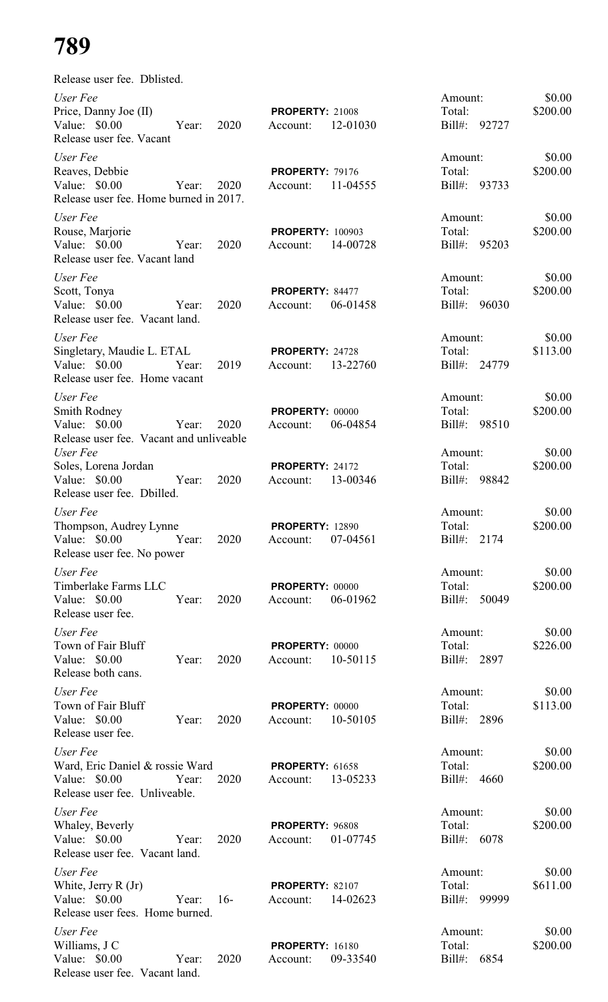| Release user fee. Dblisted.                                                              |       |       |                                     |          |                                   |       |                    |
|------------------------------------------------------------------------------------------|-------|-------|-------------------------------------|----------|-----------------------------------|-------|--------------------|
| User Fee<br>Price, Danny Joe (II)<br>Value: $$0.00$<br>Release user fee. Vacant          | Year: | 2020  | <b>PROPERTY: 21008</b><br>Account:  | 12-01030 | Amount:<br>Total:<br>$Bill#$ :    | 92727 | \$0.00<br>\$200.00 |
| User Fee<br>Reaves, Debbie<br>Value: $$0.00$<br>Release user fee. Home burned in 2017.   | Year: | 2020  | <b>PROPERTY: 79176</b><br>Account:  | 11-04555 | Amount:<br>Total:<br>$Bill#$ :    | 93733 | \$0.00<br>\$200.00 |
| User Fee                                                                                 |       |       |                                     |          | Amount:                           |       | \$0.00             |
| Rouse, Marjorie<br>Value: $$0.00$<br>Release user fee. Vacant land                       | Year: | 2020  | <b>PROPERTY: 100903</b><br>Account: | 14-00728 | Total:<br>Bill#: 95203            |       | \$200.00           |
| User Fee<br>Scott, Tonya<br>Value: \$0.00<br>Release user fee. Vacant land.              | Year: | 2020  | PROPERTY: 84477<br>Account:         | 06-01458 | Amount:<br>Total:<br>$Bill#$ :    | 96030 | \$0.00<br>\$200.00 |
|                                                                                          |       |       |                                     |          |                                   |       |                    |
| User Fee<br>Singletary, Maudie L. ETAL<br>Value: \$0.00<br>Release user fee. Home vacant | Year: | 2019  | PROPERTY: 24728<br>Account:         | 13-22760 | Amount:<br>Total:<br>$Bill#$ :    | 24779 | \$0.00<br>\$113.00 |
| User Fee                                                                                 |       |       |                                     |          | Amount:                           |       | \$0.00             |
| Smith Rodney<br>Value: \$0.00                                                            | Year: | 2020  | <b>PROPERTY: 00000</b><br>Account:  | 06-04854 | Total:<br>$Bill#$ :               | 98510 | \$200.00           |
| Release user fee. Vacant and unliveable<br>User Fee                                      |       |       |                                     |          | Amount:                           |       | \$0.00             |
| Soles, Lorena Jordan<br>Value: $$0.00$<br>Release user fee. Dbilled.                     | Year: | 2020  | <b>PROPERTY: 24172</b><br>Account:  | 13-00346 | Total:<br>Bill#: 98842            |       | \$200.00           |
| User Fee                                                                                 |       |       |                                     |          | Amount:                           |       | \$0.00             |
| Thompson, Audrey Lynne<br>Value: $$0.00$<br>Release user fee. No power                   | Year: | 2020  | <b>PROPERTY: 12890</b><br>Account:  | 07-04561 | Total:<br>Bill#: 2174             |       | \$200.00           |
| User Fee                                                                                 |       |       |                                     |          |                                   |       | \$0.00             |
| Timberlake Farms LLC<br>Value: \$0.00<br>Release user fee.                               | Year: | 2020  | <b>PROPERTY: 00000</b><br>Account:  | 06-01962 | Amount:<br>Total:<br>Bill#: 50049 |       | \$200.00           |
| User Fee<br>Town of Fair Bluff<br>Value: \$0.00<br>Release both cans.                    | Year: | 2020  | <b>PROPERTY: 00000</b><br>Account:  | 10-50115 | Amount:<br>Total:<br>Bill#: 2897  |       | \$0.00<br>\$226.00 |
| User Fee                                                                                 |       |       |                                     |          | Amount:                           |       | \$0.00             |
| Town of Fair Bluff<br>Value: \$0.00<br>Release user fee.                                 | Year: | 2020  | <b>PROPERTY: 00000</b><br>Account:  | 10-50105 | Total:<br>Bill#: 2896             |       | \$113.00           |
| User Fee                                                                                 |       |       |                                     |          | Amount:                           |       | \$0.00             |
| Ward, Eric Daniel & rossie Ward<br>Value: \$0.00<br>Release user fee. Unliveable.        | Year: | 2020  | <b>PROPERTY: 61658</b><br>Account:  | 13-05233 | Total:<br>Bill#: 4660             |       | \$200.00           |
| User Fee                                                                                 |       |       |                                     |          | Amount:                           |       | \$0.00             |
| Whaley, Beverly<br>Value: \$0.00<br>Release user fee. Vacant land.                       | Year: | 2020  | PROPERTY: 96808<br>Account:         | 01-07745 | Total:<br>Bill#: 6078             |       | \$200.00           |
| User Fee                                                                                 |       |       |                                     |          | Amount:                           |       | \$0.00             |
| White, Jerry R (Jr)<br>Value: \$0.00<br>Release user fees. Home burned.                  | Year: | $16-$ | <b>PROPERTY: 82107</b><br>Account:  | 14-02623 | Total:<br>$Bill#$ :               | 99999 | \$611.00           |
| User Fee                                                                                 |       |       |                                     |          | Amount:                           |       | \$0.00             |
| Williams, J C<br>Value: \$0.00<br>Release user fee. Vacant land.                         | Year: | 2020  | <b>PROPERTY: 16180</b><br>Account:  | 09-33540 | Total:<br>Bill#:                  | 6854  | \$200.00           |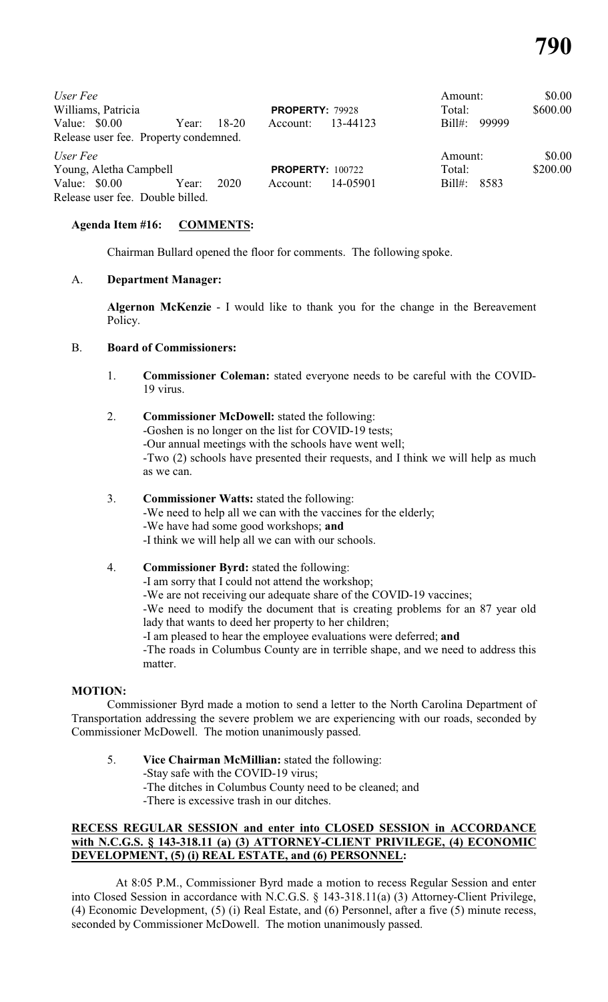| User Fee<br>Williams, Patricia<br>Value: $$0.00$<br>Release user fee. Property condemned. | Year: | 18-20 | <b>PROPERTY: 79928</b><br>Account: | 13-44123 | Amount:<br>Total:<br>99999<br>$\text{Bill}$ | \$0.00<br>\$600.00 |
|-------------------------------------------------------------------------------------------|-------|-------|------------------------------------|----------|---------------------------------------------|--------------------|
| User Fee                                                                                  |       |       |                                    |          | Amount:                                     | \$0.00             |
| Young, Aletha Campbell                                                                    |       |       | <b>PROPERTY: 100722</b>            |          | Total:                                      | \$200.00           |
| Value: $$0.00$                                                                            | Year: | 2020  | Account:                           | 14-05901 | $Bill#$ :<br>8583                           |                    |
| Release user fee. Double billed.                                                          |       |       |                                    |          |                                             |                    |

## **Agenda Item #16: COMMENTS:**

Chairman Bullard opened the floor for comments. The following spoke.

#### A. **Department Manager:**

**Algernon McKenzie** - I would like to thank you for the change in the Bereavement Policy.

#### B. **Board of Commissioners:**

- 1. **Commissioner Coleman:** stated everyone needs to be careful with the COVID-19 virus.
- 2. **Commissioner McDowell:** stated the following: -Goshen is no longer on the list for COVID-19 tests; -Our annual meetings with the schools have went well; -Two (2) schools have presented their requests, and I think we will help as much as we can.
- 3. **Commissioner Watts:** stated the following: -We need to help all we can with the vaccines for the elderly; -We have had some good workshops; **and** -I think we will help all we can with our schools.

## 4. **Commissioner Byrd:** stated the following:

-I am sorry that I could not attend the workshop;

-We are not receiving our adequate share of the COVID-19 vaccines;

-We need to modify the document that is creating problems for an 87 year old lady that wants to deed her property to her children;

-I am pleased to hear the employee evaluations were deferred; **and**

-The roads in Columbus County are in terrible shape, and we need to address this matter.

#### **MOTION:**

Commissioner Byrd made a motion to send a letter to the North Carolina Department of Transportation addressing the severe problem we are experiencing with our roads, seconded by Commissioner McDowell. The motion unanimously passed.

5. **Vice Chairman McMillian:** stated the following: -Stay safe with the COVID-19 virus; -The ditches in Columbus County need to be cleaned; and -There is excessive trash in our ditches.

## **RECESS REGULAR SESSION and enter into CLOSED SESSION in ACCORDANCE with N.C.G.S. § 143-318.11 (a) (3) ATTORNEY-CLIENT PRIVILEGE, (4) ECONOMIC DEVELOPMENT, (5) (i) REAL ESTATE, and (6) PERSONNEL:**

At 8:05 P.M., Commissioner Byrd made a motion to recess Regular Session and enter into Closed Session in accordance with N.C.G.S. § 143-318.11(a) (3) Attorney-Client Privilege, (4) Economic Development, (5) (i) Real Estate, and (6) Personnel, after a five (5) minute recess, seconded by Commissioner McDowell. The motion unanimously passed.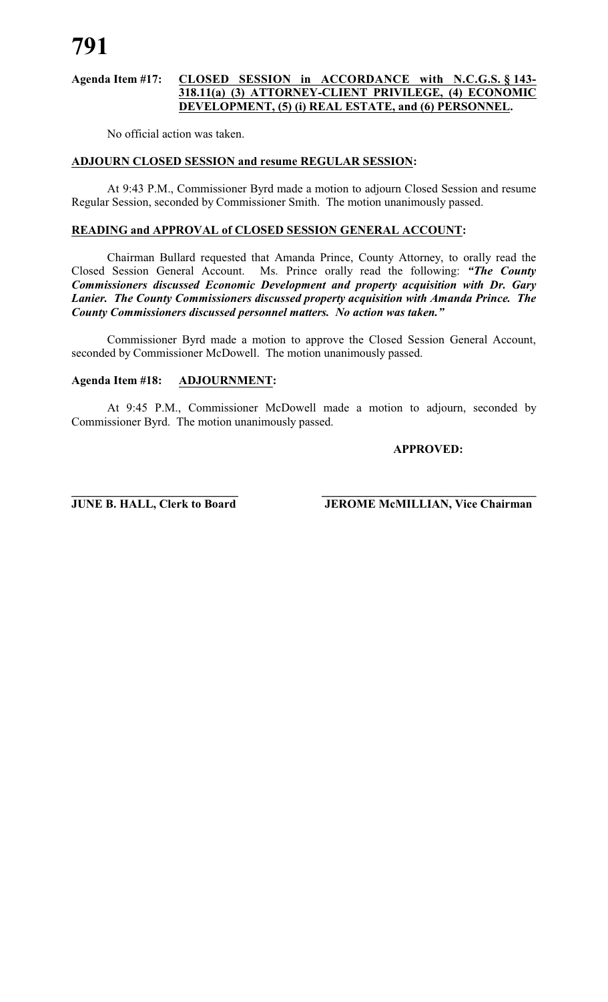## **Agenda Item #17: CLOSED SESSION in ACCORDANCE with N.C.G.S. § 143- 318.11(a) (3) ATTORNEY-CLIENT PRIVILEGE, (4) ECONOMIC DEVELOPMENT, (5) (i) REAL ESTATE, and (6) PERSONNEL.**

No official action was taken.

# **ADJOURN CLOSED SESSION and resume REGULAR SESSION:**

At 9:43 P.M., Commissioner Byrd made a motion to adjourn Closed Session and resume Regular Session, seconded by Commissioner Smith. The motion unanimously passed.

#### **READING and APPROVAL of CLOSED SESSION GENERAL ACCOUNT:**

Chairman Bullard requested that Amanda Prince, County Attorney, to orally read the Closed Session General Account. Ms. Prince orally read the following: *"The County Commissioners discussed Economic Development and property acquisition with Dr. Gary Lanier. The County Commissioners discussed property acquisition with Amanda Prince. The County Commissioners discussed personnel matters. No action was taken."*

Commissioner Byrd made a motion to approve the Closed Session General Account, seconded by Commissioner McDowell. The motion unanimously passed.

#### **Agenda Item #18: ADJOURNMENT:**

At 9:45 P.M., Commissioner McDowell made a motion to adjourn, seconded by Commissioner Byrd. The motion unanimously passed.

#### **APPROVED:**

**\_\_\_\_\_\_\_\_\_\_\_\_\_\_\_\_\_\_\_\_\_\_\_\_\_\_\_\_ \_\_\_\_\_\_\_\_\_\_\_\_\_\_\_\_\_\_\_\_\_\_\_\_\_\_\_\_\_\_\_\_\_\_\_\_ JUNE B. HALL, Clerk to Board JEROME McMILLIAN, Vice Chairman**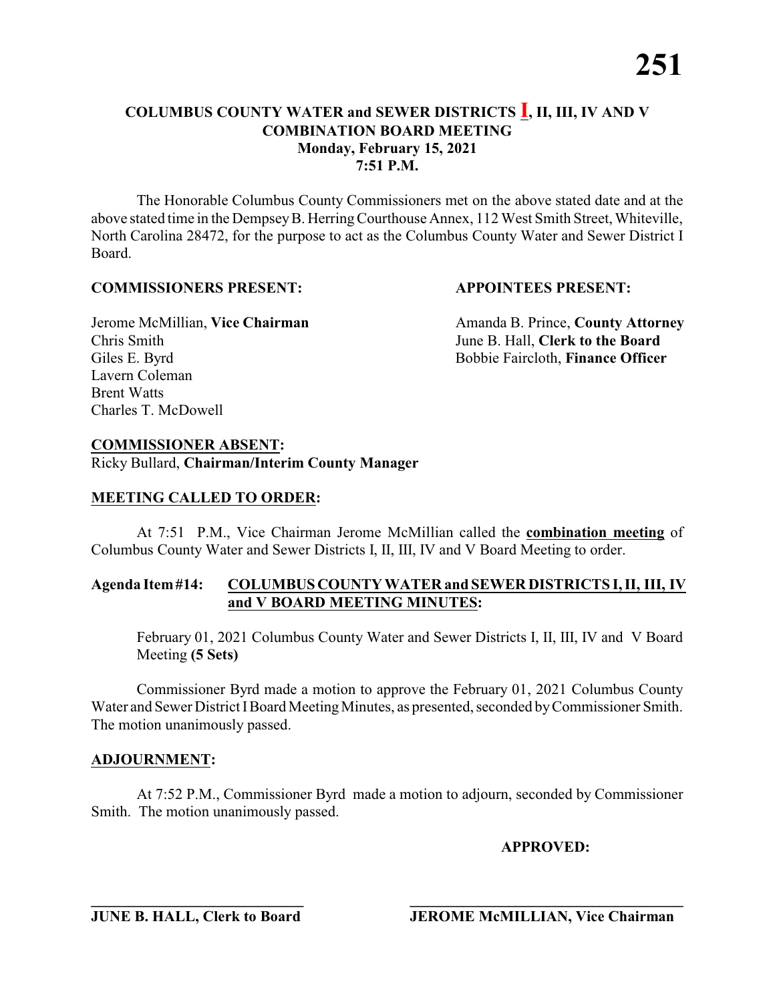The Honorable Columbus County Commissioners met on the above stated date and at the above stated time in the DempseyB. HerringCourthouse Annex, 112 West Smith Street, Whiteville, North Carolina 28472, for the purpose to act as the Columbus County Water and Sewer District I Board.

### **COMMISSIONERS PRESENT: APPOINTEES PRESENT:**

Chris Smith June B. Hall, **Clerk to the Board** Giles E. Byrd **Bobbie Faircloth, Finance Officer** Lavern Coleman Brent Watts Charles T. McDowell

Jerome McMillian, Vice Chairman Amanda B. Prince, County Attorney

### **COMMISSIONER ABSENT:**

Ricky Bullard, **Chairman/Interim County Manager**

### **MEETING CALLED TO ORDER:**

At 7:51 P.M., Vice Chairman Jerome McMillian called the **combination meeting** of Columbus County Water and Sewer Districts I, II, III, IV and V Board Meeting to order.

#### **Agenda Item#14: COLUMBUSCOUNTY WATER and SEWER DISTRICTS I, II, III, IV and V BOARD MEETING MINUTES:**

February 01, 2021 Columbus County Water and Sewer Districts I, II, III, IV and V Board Meeting **(5 Sets)**

Commissioner Byrd made a motion to approve the February 01, 2021 Columbus County Water and Sewer District I Board Meeting Minutes, as presented, seconded by Commissioner Smith. The motion unanimously passed.

### **ADJOURNMENT:**

At 7:52 P.M., Commissioner Byrd made a motion to adjourn, seconded by Commissioner Smith. The motion unanimously passed.

### **APPROVED:**

**\_\_\_\_\_\_\_\_\_\_\_\_\_\_\_\_\_\_\_\_\_\_\_\_\_\_\_\_ \_\_\_\_\_\_\_\_\_\_\_\_\_\_\_\_\_\_\_\_\_\_\_\_\_\_\_\_\_\_\_\_\_\_\_\_**

**JUNE B. HALL, Clerk to Board JEROME McMILLIAN, Vice Chairman**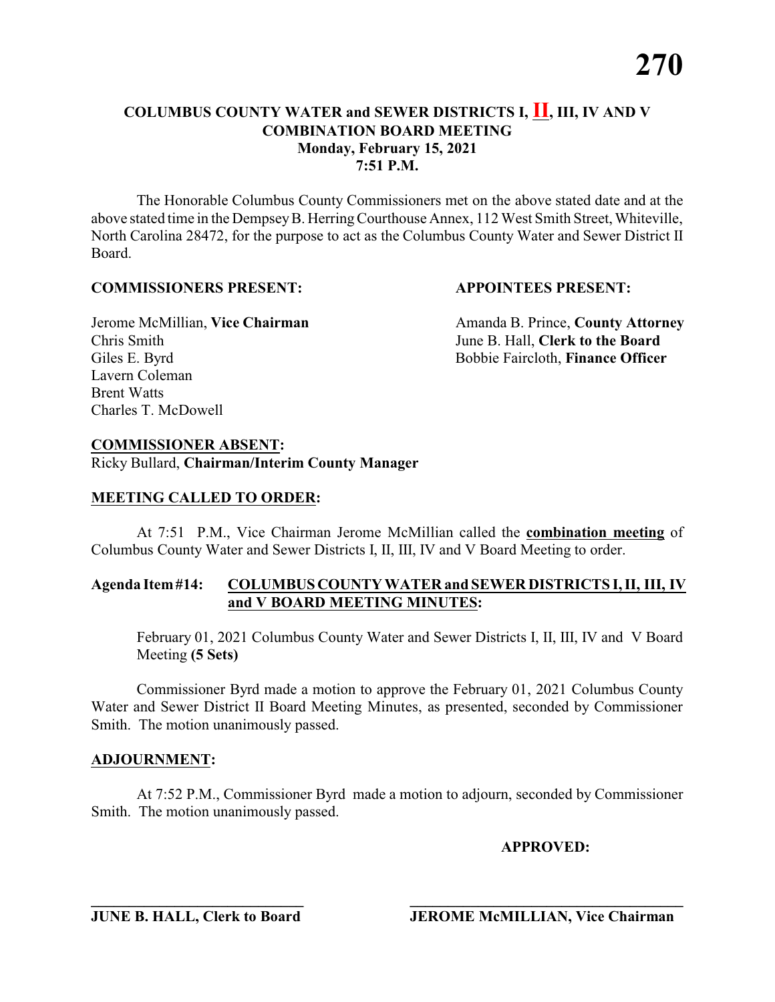The Honorable Columbus County Commissioners met on the above stated date and at the above stated time in the DempseyB. HerringCourthouse Annex, 112 West Smith Street, Whiteville, North Carolina 28472, for the purpose to act as the Columbus County Water and Sewer District II Board.

#### **COMMISSIONERS PRESENT: APPOINTEES PRESENT:**

Chris Smith June B. Hall, **Clerk to the Board** Giles E. Byrd **Bobbie Faircloth, Finance Officer** Lavern Coleman Brent Watts Charles T. McDowell

Jerome McMillian, Vice Chairman Amanda B. Prince, County Attorney

#### **COMMISSIONER ABSENT:**

Ricky Bullard, **Chairman/Interim County Manager**

#### **MEETING CALLED TO ORDER:**

At 7:51 P.M., Vice Chairman Jerome McMillian called the **combination meeting** of Columbus County Water and Sewer Districts I, II, III, IV and V Board Meeting to order.

#### **Agenda Item#14: COLUMBUSCOUNTY WATER and SEWER DISTRICTS I, II, III, IV and V BOARD MEETING MINUTES:**

February 01, 2021 Columbus County Water and Sewer Districts I, II, III, IV and V Board Meeting **(5 Sets)**

Commissioner Byrd made a motion to approve the February 01, 2021 Columbus County Water and Sewer District II Board Meeting Minutes, as presented, seconded by Commissioner Smith. The motion unanimously passed.

#### **ADJOURNMENT:**

At 7:52 P.M., Commissioner Byrd made a motion to adjourn, seconded by Commissioner Smith. The motion unanimously passed.

#### **APPROVED:**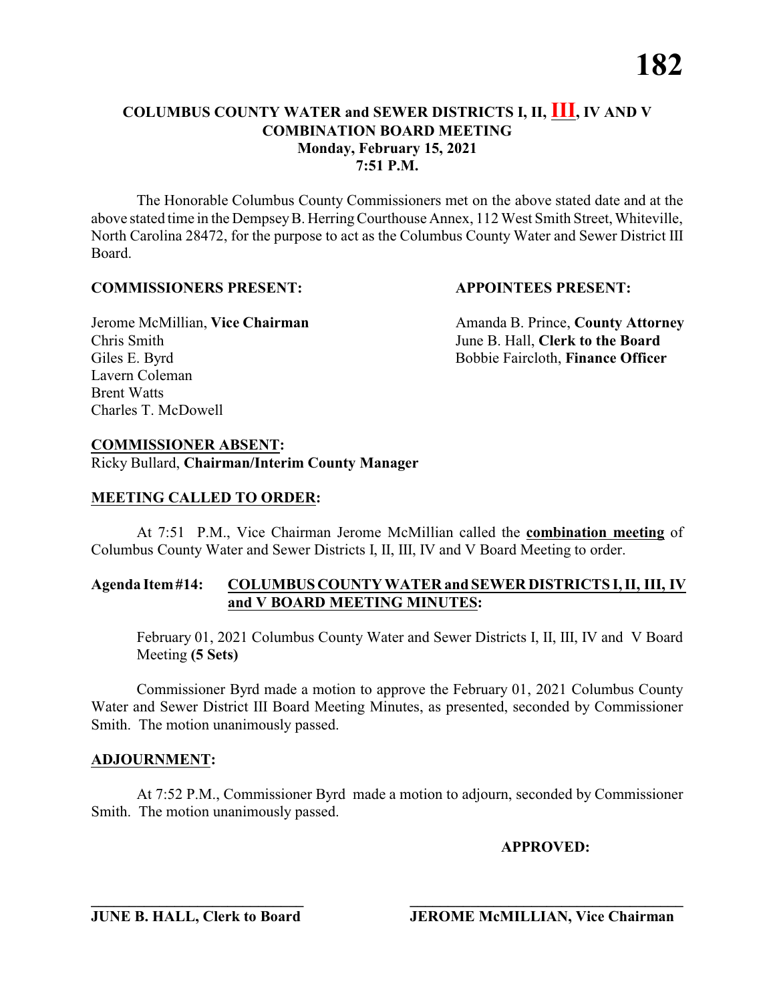The Honorable Columbus County Commissioners met on the above stated date and at the above stated time in the DempseyB. HerringCourthouse Annex, 112 West Smith Street, Whiteville, North Carolina 28472, for the purpose to act as the Columbus County Water and Sewer District III Board.

### **COMMISSIONERS PRESENT: APPOINTEES PRESENT:**

Chris Smith June B. Hall, **Clerk to the Board** Giles E. Byrd **Bobbie Faircloth, Finance Officer** Lavern Coleman Brent Watts Charles T. McDowell

Jerome McMillian, Vice Chairman Amanda B. Prince, County Attorney

# **COMMISSIONER ABSENT:**

Ricky Bullard, **Chairman/Interim County Manager**

### **MEETING CALLED TO ORDER:**

At 7:51 P.M., Vice Chairman Jerome McMillian called the **combination meeting** of Columbus County Water and Sewer Districts I, II, III, IV and V Board Meeting to order.

#### **Agenda Item#14: COLUMBUSCOUNTY WATER and SEWER DISTRICTS I, II, III, IV and V BOARD MEETING MINUTES:**

February 01, 2021 Columbus County Water and Sewer Districts I, II, III, IV and V Board Meeting **(5 Sets)**

Commissioner Byrd made a motion to approve the February 01, 2021 Columbus County Water and Sewer District III Board Meeting Minutes, as presented, seconded by Commissioner Smith. The motion unanimously passed.

### **ADJOURNMENT:**

At 7:52 P.M., Commissioner Byrd made a motion to adjourn, seconded by Commissioner Smith. The motion unanimously passed.

### **APPROVED:**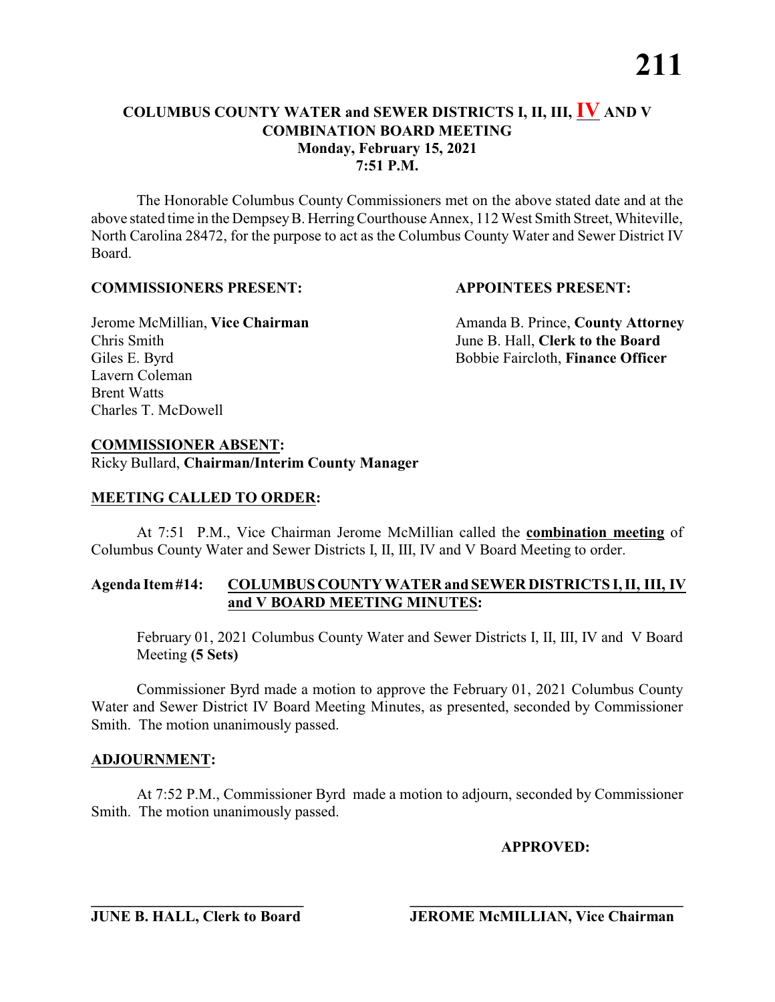The Honorable Columbus County Commissioners met on the above stated date and at the above stated time in the DempseyB. HerringCourthouse Annex, 112 West Smith Street, Whiteville, North Carolina 28472, for the purpose to act as the Columbus County Water and Sewer District IV Board.

### **COMMISSIONERS PRESENT: APPOINTEES PRESENT:**

Chris Smith June B. Hall, **Clerk to the Board** Giles E. Byrd **Bobbie Faircloth, Finance Officer** Lavern Coleman Brent Watts Charles T. McDowell

Jerome McMillian, Vice Chairman Amanda B. Prince, County Attorney

### **COMMISSIONER ABSENT:**

Ricky Bullard, **Chairman/Interim County Manager**

#### **MEETING CALLED TO ORDER:**

At 7:51 P.M., Vice Chairman Jerome McMillian called the **combination meeting** of Columbus County Water and Sewer Districts I, II, III, IV and V Board Meeting to order.

#### **Agenda Item#14: COLUMBUSCOUNTY WATER and SEWER DISTRICTS I, II, III, IV and V BOARD MEETING MINUTES:**

February 01, 2021 Columbus County Water and Sewer Districts I, II, III, IV and V Board Meeting **(5 Sets)**

Commissioner Byrd made a motion to approve the February 01, 2021 Columbus County Water and Sewer District IV Board Meeting Minutes, as presented, seconded by Commissioner Smith. The motion unanimously passed.

#### **ADJOURNMENT:**

At 7:52 P.M., Commissioner Byrd made a motion to adjourn, seconded by Commissioner Smith. The motion unanimously passed.

#### **APPROVED:**